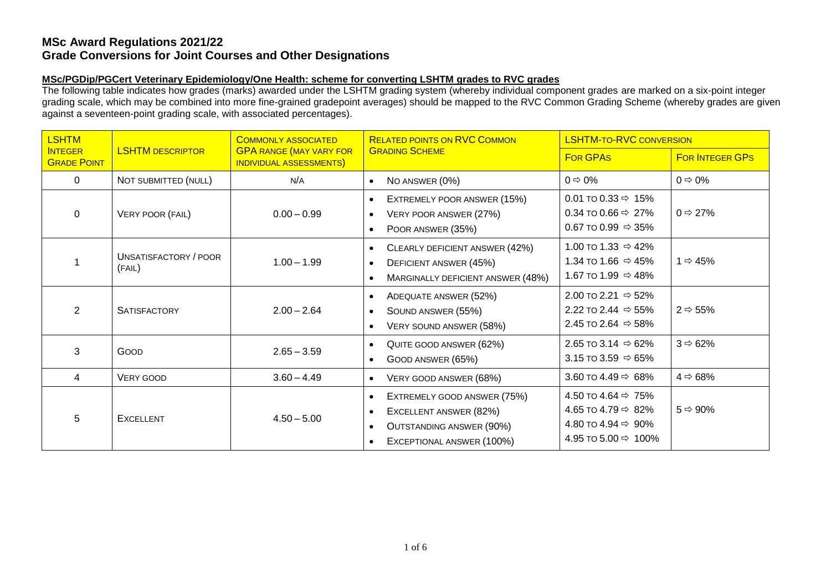#### **MSc/PGDip/PGCert Veterinary Epidemiology/One Health: scheme for converting LSHTM grades to RVC grades**

The following table indicates how grades (marks) awarded under the LSHTM grading system (whereby individual component grades are marked on a six-point integer grading scale, which may be combined into more fine-grained gradepoint averages) should be mapped to the RVC Common Grading Scheme (whereby grades are given against a seventeen-point grading scale, with associated percentages).

| <b>LSHTM</b>                         |                                 | <b>COMMONLY ASSOCIATED</b>                                       | <b>RELATED POINTS ON RVC COMMON</b><br><b>LSHTM-TO-RVC CONVERSION</b>                                                   |                                                                                                                                       |                      |
|--------------------------------------|---------------------------------|------------------------------------------------------------------|-------------------------------------------------------------------------------------------------------------------------|---------------------------------------------------------------------------------------------------------------------------------------|----------------------|
| <b>INTEGER</b><br><b>GRADE POINT</b> | <b>LSHTM DESCRIPTOR</b>         | <b>GPA RANGE (MAY VARY FOR</b><br><b>INDIVIDUAL ASSESSMENTS)</b> | <b>GRADING SCHEME</b>                                                                                                   | <b>FOR GPAS</b>                                                                                                                       | FOR INTEGER GPS      |
| $\mathbf{0}$                         | NOT SUBMITTED (NULL)            | N/A                                                              | NO ANSWER (0%)                                                                                                          | $0 \Rightarrow 0\%$                                                                                                                   | $0 \Rightarrow 0\%$  |
| $\Omega$                             | VERY POOR (FAIL)                | $0.00 - 0.99$                                                    | EXTREMELY POOR ANSWER (15%)<br>VERY POOR ANSWER (27%)<br>$\bullet$<br>POOR ANSWER (35%)<br>$\bullet$                    | 0.01 TO 0.33 $\Rightarrow$ 15%<br>0.34 TO 0.66 $\Rightarrow$ 27%<br>0.67 TO 0.99 $\Rightarrow$ 35%                                    | $0 \Rightarrow 27\%$ |
|                                      | UNSATISFACTORY / POOR<br>(FAIL) | $1.00 - 1.99$                                                    | CLEARLY DEFICIENT ANSWER (42%)<br>$\bullet$<br>DEFICIENT ANSWER (45%)<br>$\bullet$<br>MARGINALLY DEFICIENT ANSWER (48%) | 1.00 TO 1.33 $\Rightarrow$ 42%<br>1.34 TO 1.66 $\Rightarrow$ 45%<br>1.67 TO 1.99 $\Rightarrow$ 48%                                    | $1 \Rightarrow 45\%$ |
| $\overline{2}$                       | <b>SATISFACTORY</b>             | $2.00 - 2.64$                                                    | ADEQUATE ANSWER (52%)<br>$\bullet$<br>SOUND ANSWER (55%)<br>$\bullet$<br>VERY SOUND ANSWER (58%)                        | 2.00 TO 2.21 $\Rightarrow$ 52%<br>2.22 TO 2.44 $\Rightarrow$ 55%<br>2.45 TO 2.64 $\Rightarrow$ 58%                                    | $2 \Rightarrow 55\%$ |
| 3                                    | GOOD                            | $2.65 - 3.59$                                                    | QUITE GOOD ANSWER (62%)<br>$\bullet$<br>GOOD ANSWER (65%)                                                               | 2.65 TO 3.14 $\Rightarrow$ 62%<br>3.15 TO 3.59 $\Rightarrow$ 65%                                                                      | $3 \Rightarrow 62\%$ |
| 4                                    | <b>VERY GOOD</b>                | $3.60 - 4.49$                                                    | VERY GOOD ANSWER (68%)                                                                                                  | 3.60 TO 4.49 $\Rightarrow$ 68%                                                                                                        | $4 \Rightarrow 68\%$ |
| 5                                    | <b>EXCELLENT</b>                | $4.50 - 5.00$                                                    | EXTREMELY GOOD ANSWER (75%)<br>EXCELLENT ANSWER (82%)<br><b>OUTSTANDING ANSWER (90%)</b><br>EXCEPTIONAL ANSWER (100%)   | 4.50 TO 4.64 $\Rightarrow$ 75%<br>4.65 TO 4.79 $\Rightarrow$ 82%<br>4.80 TO 4.94 $\Rightarrow$ 90%<br>4.95 TO 5.00 $\Rightarrow$ 100% | $5 \Rightarrow 90\%$ |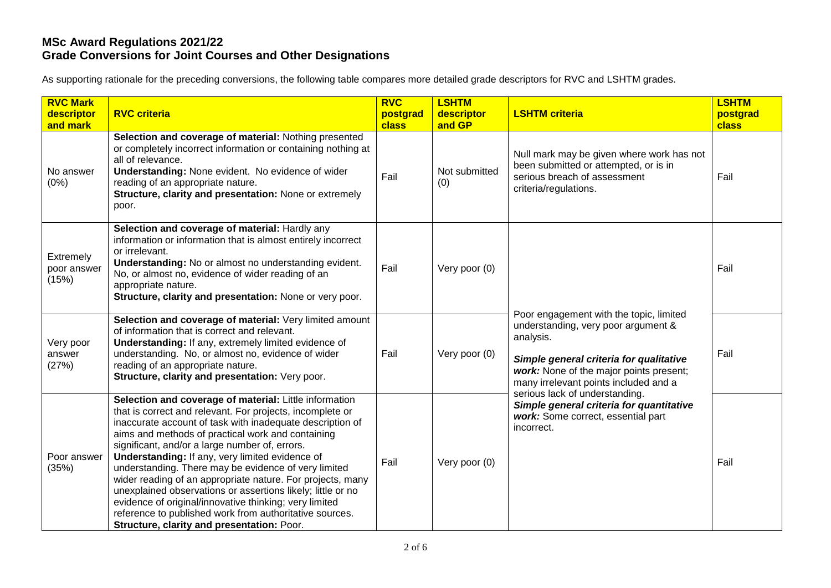As supporting rationale for the preceding conversions, the following table compares more detailed grade descriptors for RVC and LSHTM grades.

| <b>RVC Mark</b><br>descriptor<br>and mark | <b>RVC criteria</b>                                                                                                                                                                                                                                                                                                                                                                                                                                                                                                                                                                                                                                                                                | <b>RVC</b><br>postgrad<br>class | <b>LSHTM</b><br>descriptor<br>and GP | <b>LSHTM criteria</b>                                                                                                                                                                                                                                                                                                                                        | <b>LSHTM</b><br>postgrad<br><b>class</b> |
|-------------------------------------------|----------------------------------------------------------------------------------------------------------------------------------------------------------------------------------------------------------------------------------------------------------------------------------------------------------------------------------------------------------------------------------------------------------------------------------------------------------------------------------------------------------------------------------------------------------------------------------------------------------------------------------------------------------------------------------------------------|---------------------------------|--------------------------------------|--------------------------------------------------------------------------------------------------------------------------------------------------------------------------------------------------------------------------------------------------------------------------------------------------------------------------------------------------------------|------------------------------------------|
| No answer<br>(0%)                         | Selection and coverage of material: Nothing presented<br>or completely incorrect information or containing nothing at<br>all of relevance.<br>Understanding: None evident. No evidence of wider<br>reading of an appropriate nature.<br>Structure, clarity and presentation: None or extremely<br>poor.                                                                                                                                                                                                                                                                                                                                                                                            | Fail                            | Not submitted<br>(0)                 | Null mark may be given where work has not<br>been submitted or attempted, or is in<br>serious breach of assessment<br>criteria/regulations.                                                                                                                                                                                                                  | Fail                                     |
| Extremely<br>poor answer<br>(15%)         | Selection and coverage of material: Hardly any<br>information or information that is almost entirely incorrect<br>or irrelevant.<br>Understanding: No or almost no understanding evident.<br>No, or almost no, evidence of wider reading of an<br>appropriate nature.<br>Structure, clarity and presentation: None or very poor.                                                                                                                                                                                                                                                                                                                                                                   | Fail                            | Very poor (0)                        | Poor engagement with the topic, limited<br>understanding, very poor argument &<br>analysis.<br>Simple general criteria for qualitative<br>work: None of the major points present;<br>many irrelevant points included and a<br>serious lack of understanding.<br>Simple general criteria for quantitative<br>work: Some correct, essential part<br>incorrect. | Fail                                     |
| Very poor<br>answer<br>(27%)              | Selection and coverage of material: Very limited amount<br>of information that is correct and relevant.<br>Understanding: If any, extremely limited evidence of<br>understanding. No, or almost no, evidence of wider<br>reading of an appropriate nature.<br>Structure, clarity and presentation: Very poor.                                                                                                                                                                                                                                                                                                                                                                                      | Fail                            | Very poor (0)                        |                                                                                                                                                                                                                                                                                                                                                              | Fail                                     |
| Poor answer<br>(35%)                      | Selection and coverage of material: Little information<br>that is correct and relevant. For projects, incomplete or<br>inaccurate account of task with inadequate description of<br>aims and methods of practical work and containing<br>significant, and/or a large number of, errors.<br>Understanding: If any, very limited evidence of<br>understanding. There may be evidence of very limited<br>wider reading of an appropriate nature. For projects, many<br>unexplained observations or assertions likely; little or no<br>evidence of original/innovative thinking; very limited<br>reference to published work from authoritative sources.<br>Structure, clarity and presentation: Poor. | Fail                            | Very poor (0)                        |                                                                                                                                                                                                                                                                                                                                                              | Fail                                     |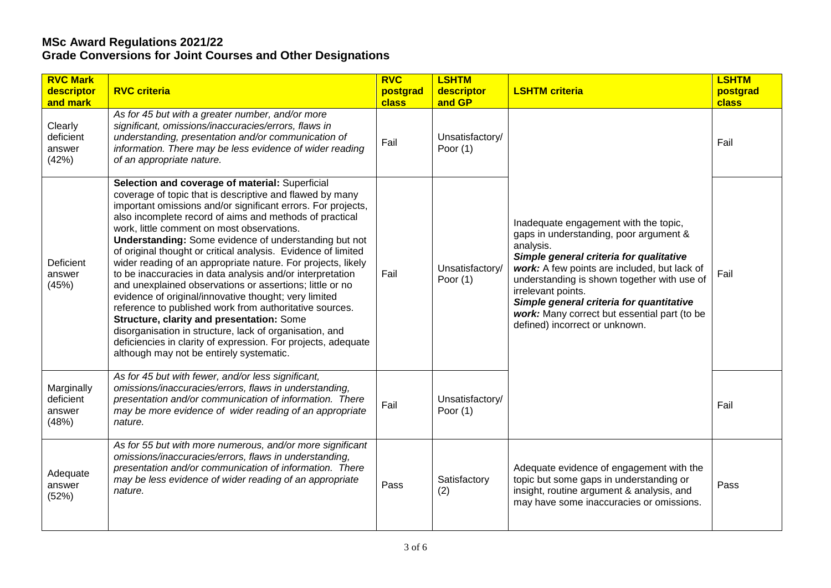| <b>RVC Mark</b><br>descriptor<br>and mark  | <b>RVC criteria</b>                                                                                                                                                                                                                                                                                                                                                                                                                                                                                                                                                                                                                                                                                                                                                                                                                                                                                                                                     | <b>RVC</b><br>postgrad<br>class | <b>LSHTM</b><br>descriptor<br>and GP | <b>LSHTM criteria</b>                                                                                                                                                                                                                                                                                                                                                                      | <b>LSHTM</b><br>postgrad<br>class |
|--------------------------------------------|---------------------------------------------------------------------------------------------------------------------------------------------------------------------------------------------------------------------------------------------------------------------------------------------------------------------------------------------------------------------------------------------------------------------------------------------------------------------------------------------------------------------------------------------------------------------------------------------------------------------------------------------------------------------------------------------------------------------------------------------------------------------------------------------------------------------------------------------------------------------------------------------------------------------------------------------------------|---------------------------------|--------------------------------------|--------------------------------------------------------------------------------------------------------------------------------------------------------------------------------------------------------------------------------------------------------------------------------------------------------------------------------------------------------------------------------------------|-----------------------------------|
| Clearly<br>deficient<br>answer<br>(42%)    | As for 45 but with a greater number, and/or more<br>significant, omissions/inaccuracies/errors, flaws in<br>understanding, presentation and/or communication of<br>information. There may be less evidence of wider reading<br>of an appropriate nature.                                                                                                                                                                                                                                                                                                                                                                                                                                                                                                                                                                                                                                                                                                | Fail                            | Unsatisfactory/<br>Poor $(1)$        |                                                                                                                                                                                                                                                                                                                                                                                            | Fail                              |
| Deficient<br>answer<br>(45%)               | Selection and coverage of material: Superficial<br>coverage of topic that is descriptive and flawed by many<br>important omissions and/or significant errors. For projects,<br>also incomplete record of aims and methods of practical<br>work, little comment on most observations.<br><b>Understanding:</b> Some evidence of understanding but not<br>of original thought or critical analysis. Evidence of limited<br>wider reading of an appropriate nature. For projects, likely<br>to be inaccuracies in data analysis and/or interpretation<br>and unexplained observations or assertions; little or no<br>evidence of original/innovative thought; very limited<br>reference to published work from authoritative sources.<br>Structure, clarity and presentation: Some<br>disorganisation in structure, lack of organisation, and<br>deficiencies in clarity of expression. For projects, adequate<br>although may not be entirely systematic. | Fail                            | Unsatisfactory/<br>Poor $(1)$        | Inadequate engagement with the topic,<br>gaps in understanding, poor argument &<br>analysis.<br>Simple general criteria for qualitative<br>work: A few points are included, but lack of<br>understanding is shown together with use of<br>irrelevant points.<br>Simple general criteria for quantitative<br>work: Many correct but essential part (to be<br>defined) incorrect or unknown. | Fail                              |
| Marginally<br>deficient<br>answer<br>(48%) | As for 45 but with fewer, and/or less significant,<br>omissions/inaccuracies/errors, flaws in understanding,<br>presentation and/or communication of information. There<br>may be more evidence of wider reading of an appropriate<br>nature.                                                                                                                                                                                                                                                                                                                                                                                                                                                                                                                                                                                                                                                                                                           | Fail                            | Unsatisfactory/<br>Poor $(1)$        |                                                                                                                                                                                                                                                                                                                                                                                            | Fail                              |
| Adequate<br>answer<br>(52%)                | As for 55 but with more numerous, and/or more significant<br>omissions/inaccuracies/errors, flaws in understanding,<br>presentation and/or communication of information. There<br>may be less evidence of wider reading of an appropriate<br>nature.                                                                                                                                                                                                                                                                                                                                                                                                                                                                                                                                                                                                                                                                                                    | Pass                            | Satisfactory<br>(2)                  | Adequate evidence of engagement with the<br>topic but some gaps in understanding or<br>insight, routine argument & analysis, and<br>may have some inaccuracies or omissions.                                                                                                                                                                                                               | Pass                              |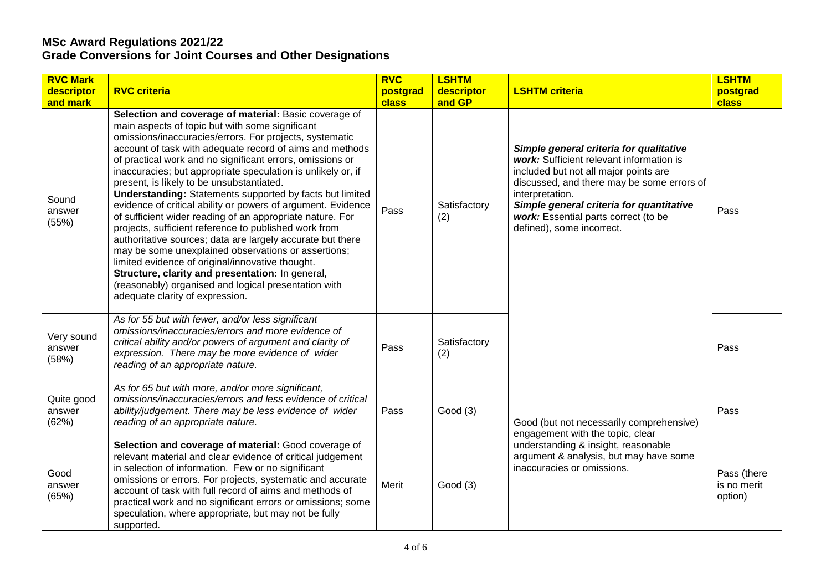| <b>RVC Mark</b><br>descriptor<br>and mark | <b>RVC criteria</b>                                                                                                                                                                                                                                                                                                                                                                                                                                                                                                                                                                                                                                                                                                                                                                                                                                                                                                                                                                        | <b>RVC</b><br>postgrad<br>class | <b>LSHTM</b><br>descriptor<br>and GP | <b>LSHTM criteria</b>                                                                                                                                                                                                                                                                                          | <b>LSHTM</b><br>postgrad<br>class     |
|-------------------------------------------|--------------------------------------------------------------------------------------------------------------------------------------------------------------------------------------------------------------------------------------------------------------------------------------------------------------------------------------------------------------------------------------------------------------------------------------------------------------------------------------------------------------------------------------------------------------------------------------------------------------------------------------------------------------------------------------------------------------------------------------------------------------------------------------------------------------------------------------------------------------------------------------------------------------------------------------------------------------------------------------------|---------------------------------|--------------------------------------|----------------------------------------------------------------------------------------------------------------------------------------------------------------------------------------------------------------------------------------------------------------------------------------------------------------|---------------------------------------|
| Sound<br>answer<br>(55%)                  | Selection and coverage of material: Basic coverage of<br>main aspects of topic but with some significant<br>omissions/inaccuracies/errors. For projects, systematic<br>account of task with adequate record of aims and methods<br>of practical work and no significant errors, omissions or<br>inaccuracies; but appropriate speculation is unlikely or, if<br>present, is likely to be unsubstantiated.<br><b>Understanding: Statements supported by facts but limited</b><br>evidence of critical ability or powers of argument. Evidence<br>of sufficient wider reading of an appropriate nature. For<br>projects, sufficient reference to published work from<br>authoritative sources; data are largely accurate but there<br>may be some unexplained observations or assertions;<br>limited evidence of original/innovative thought.<br>Structure, clarity and presentation: In general,<br>(reasonably) organised and logical presentation with<br>adequate clarity of expression. | Pass                            | Satisfactory<br>(2)                  | Simple general criteria for qualitative<br>work: Sufficient relevant information is<br>included but not all major points are<br>discussed, and there may be some errors of<br>interpretation.<br>Simple general criteria for quantitative<br>work: Essential parts correct (to be<br>defined), some incorrect. | Pass                                  |
| Very sound<br>answer<br>(58%)             | As for 55 but with fewer, and/or less significant<br>omissions/inaccuracies/errors and more evidence of<br>critical ability and/or powers of argument and clarity of<br>expression. There may be more evidence of wider<br>reading of an appropriate nature.                                                                                                                                                                                                                                                                                                                                                                                                                                                                                                                                                                                                                                                                                                                               | Pass                            | Satisfactory<br>(2)                  |                                                                                                                                                                                                                                                                                                                | Pass                                  |
| Quite good<br>answer<br>(62%)             | As for 65 but with more, and/or more significant,<br>omissions/inaccuracies/errors and less evidence of critical<br>ability/judgement. There may be less evidence of wider<br>reading of an appropriate nature.                                                                                                                                                                                                                                                                                                                                                                                                                                                                                                                                                                                                                                                                                                                                                                            | Pass                            | Good(3)                              | Good (but not necessarily comprehensive)<br>engagement with the topic, clear<br>understanding & insight, reasonable<br>argument & analysis, but may have some<br>inaccuracies or omissions.                                                                                                                    | Pass                                  |
| Good<br>answer<br>(65%)                   | Selection and coverage of material: Good coverage of<br>relevant material and clear evidence of critical judgement<br>in selection of information. Few or no significant<br>omissions or errors. For projects, systematic and accurate<br>account of task with full record of aims and methods of<br>practical work and no significant errors or omissions; some<br>speculation, where appropriate, but may not be fully<br>supported.                                                                                                                                                                                                                                                                                                                                                                                                                                                                                                                                                     | Merit                           | Good(3)                              |                                                                                                                                                                                                                                                                                                                | Pass (there<br>is no merit<br>option) |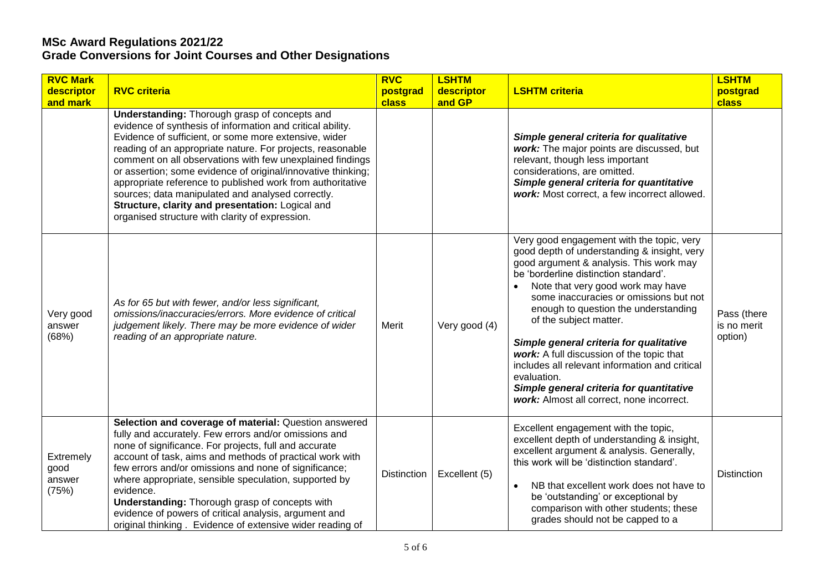| <b>RVC Mark</b><br>descriptor<br>and mark | <b>RVC criteria</b>                                                                                                                                                                                                                                                                                                                                                                                                                                                                                                                                                                       | <b>RVC</b><br>postgrad<br>class | <b>LSHTM</b><br>descriptor<br>and GP | <b>LSHTM criteria</b>                                                                                                                                                                                                                                                                                                                                                                                                                                                                                                                                                           | <b>LSHTM</b><br>postgrad<br>class     |
|-------------------------------------------|-------------------------------------------------------------------------------------------------------------------------------------------------------------------------------------------------------------------------------------------------------------------------------------------------------------------------------------------------------------------------------------------------------------------------------------------------------------------------------------------------------------------------------------------------------------------------------------------|---------------------------------|--------------------------------------|---------------------------------------------------------------------------------------------------------------------------------------------------------------------------------------------------------------------------------------------------------------------------------------------------------------------------------------------------------------------------------------------------------------------------------------------------------------------------------------------------------------------------------------------------------------------------------|---------------------------------------|
|                                           | Understanding: Thorough grasp of concepts and<br>evidence of synthesis of information and critical ability.<br>Evidence of sufficient, or some more extensive, wider<br>reading of an appropriate nature. For projects, reasonable<br>comment on all observations with few unexplained findings<br>or assertion; some evidence of original/innovative thinking;<br>appropriate reference to published work from authoritative<br>sources; data manipulated and analysed correctly.<br>Structure, clarity and presentation: Logical and<br>organised structure with clarity of expression. |                                 |                                      | Simple general criteria for qualitative<br>work: The major points are discussed, but<br>relevant, though less important<br>considerations, are omitted.<br>Simple general criteria for quantitative<br>work: Most correct, a few incorrect allowed.                                                                                                                                                                                                                                                                                                                             |                                       |
| Very good<br>answer<br>(68%)              | As for 65 but with fewer, and/or less significant,<br>omissions/inaccuracies/errors. More evidence of critical<br>judgement likely. There may be more evidence of wider<br>reading of an appropriate nature.                                                                                                                                                                                                                                                                                                                                                                              | Merit                           | Very good (4)                        | Very good engagement with the topic, very<br>good depth of understanding & insight, very<br>good argument & analysis. This work may<br>be 'borderline distinction standard'.<br>Note that very good work may have<br>some inaccuracies or omissions but not<br>enough to question the understanding<br>of the subject matter.<br>Simple general criteria for qualitative<br>work: A full discussion of the topic that<br>includes all relevant information and critical<br>evaluation.<br>Simple general criteria for quantitative<br>work: Almost all correct, none incorrect. | Pass (there<br>is no merit<br>option) |
| Extremely<br>good<br>answer<br>(75%)      | Selection and coverage of material: Question answered<br>fully and accurately. Few errors and/or omissions and<br>none of significance. For projects, full and accurate<br>account of task, aims and methods of practical work with<br>few errors and/or omissions and none of significance;<br>where appropriate, sensible speculation, supported by<br>evidence.<br><b>Understanding:</b> Thorough grasp of concepts with<br>evidence of powers of critical analysis, argument and<br>original thinking. Evidence of extensive wider reading of                                         | <b>Distinction</b>              | Excellent (5)                        | Excellent engagement with the topic,<br>excellent depth of understanding & insight,<br>excellent argument & analysis. Generally,<br>this work will be 'distinction standard'.<br>NB that excellent work does not have to<br>$\bullet$<br>be 'outstanding' or exceptional by<br>comparison with other students; these<br>grades should not be capped to a                                                                                                                                                                                                                        | <b>Distinction</b>                    |